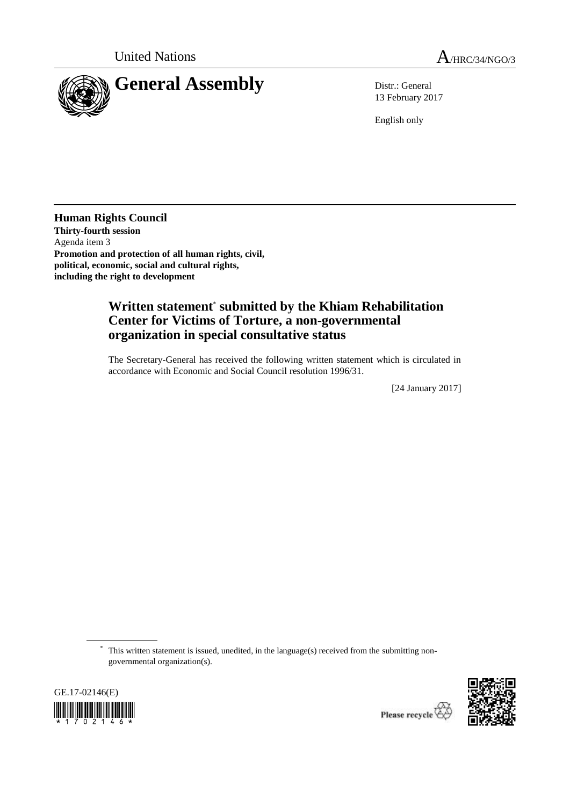

13 February 2017

English only

**Human Rights Council Thirty-fourth session** Agenda item 3 **Promotion and protection of all human rights, civil, political, economic, social and cultural rights, including the right to development**

## **Written statement**\* **submitted by the Khiam Rehabilitation Center for Victims of Torture, a non-governmental organization in special consultative status**

The Secretary-General has received the following written statement which is circulated in accordance with Economic and Social Council resolution 1996/31.

[24 January 2017]

\* This written statement is issued, unedited, in the language(s) received from the submitting nongovernmental organization(s).



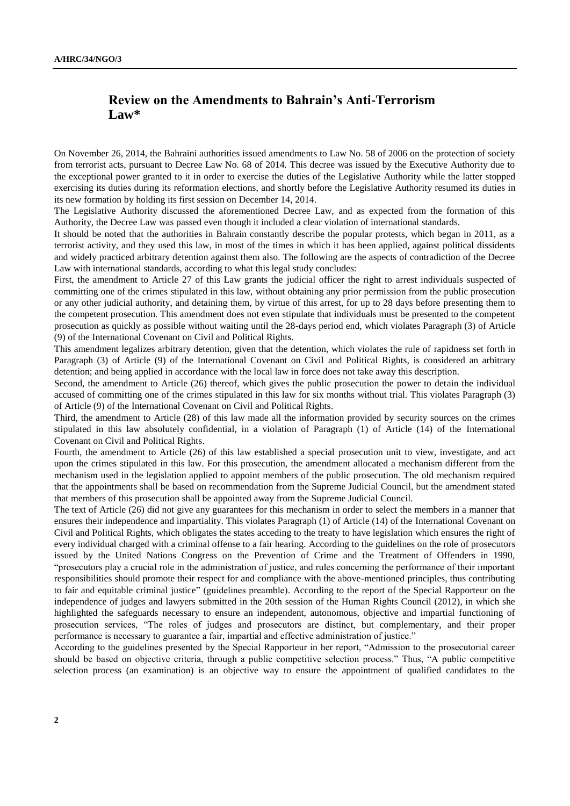## **Review on the Amendments to Bahrain's Anti-Terrorism Law\***

On November 26, 2014, the Bahraini authorities issued amendments to Law No. 58 of 2006 on the protection of society from terrorist acts, pursuant to Decree Law No. 68 of 2014. This decree was issued by the Executive Authority due to the exceptional power granted to it in order to exercise the duties of the Legislative Authority while the latter stopped exercising its duties during its reformation elections, and shortly before the Legislative Authority resumed its duties in its new formation by holding its first session on December 14, 2014.

The Legislative Authority discussed the aforementioned Decree Law, and as expected from the formation of this Authority, the Decree Law was passed even though it included a clear violation of international standards.

It should be noted that the authorities in Bahrain constantly describe the popular protests, which began in 2011, as a terrorist activity, and they used this law, in most of the times in which it has been applied, against political dissidents and widely practiced arbitrary detention against them also. The following are the aspects of contradiction of the Decree Law with international standards, according to what this legal study concludes:

First, the amendment to Article 27 of this Law grants the judicial officer the right to arrest individuals suspected of committing one of the crimes stipulated in this law, without obtaining any prior permission from the public prosecution or any other judicial authority, and detaining them, by virtue of this arrest, for up to 28 days before presenting them to the competent prosecution. This amendment does not even stipulate that individuals must be presented to the competent prosecution as quickly as possible without waiting until the 28-days period end, which violates Paragraph (3) of Article (9) of the International Covenant on Civil and Political Rights.

This amendment legalizes arbitrary detention, given that the detention, which violates the rule of rapidness set forth in Paragraph (3) of Article (9) of the International Covenant on Civil and Political Rights, is considered an arbitrary detention; and being applied in accordance with the local law in force does not take away this description.

Second, the amendment to Article (26) thereof, which gives the public prosecution the power to detain the individual accused of committing one of the crimes stipulated in this law for six months without trial. This violates Paragraph (3) of Article (9) of the International Covenant on Civil and Political Rights.

Third, the amendment to Article (28) of this law made all the information provided by security sources on the crimes stipulated in this law absolutely confidential, in a violation of Paragraph (1) of Article (14) of the International Covenant on Civil and Political Rights.

Fourth, the amendment to Article (26) of this law established a special prosecution unit to view, investigate, and act upon the crimes stipulated in this law. For this prosecution, the amendment allocated a mechanism different from the mechanism used in the legislation applied to appoint members of the public prosecution. The old mechanism required that the appointments shall be based on recommendation from the Supreme Judicial Council, but the amendment stated that members of this prosecution shall be appointed away from the Supreme Judicial Council.

The text of Article (26) did not give any guarantees for this mechanism in order to select the members in a manner that ensures their independence and impartiality. This violates Paragraph (1) of Article (14) of the International Covenant on Civil and Political Rights, which obligates the states acceding to the treaty to have legislation which ensures the right of every individual charged with a criminal offense to a fair hearing. According to the guidelines on the role of prosecutors issued by the United Nations Congress on the Prevention of Crime and the Treatment of Offenders in 1990, "prosecutors play a crucial role in the administration of justice, and rules concerning the performance of their important responsibilities should promote their respect for and compliance with the above-mentioned principles, thus contributing to fair and equitable criminal justice" (guidelines preamble). According to the report of the Special Rapporteur on the independence of judges and lawyers submitted in the 20th session of the Human Rights Council (2012), in which she highlighted the safeguards necessary to ensure an independent, autonomous, objective and impartial functioning of prosecution services, "The roles of judges and prosecutors are distinct, but complementary, and their proper performance is necessary to guarantee a fair, impartial and effective administration of justice."

According to the guidelines presented by the Special Rapporteur in her report, "Admission to the prosecutorial career should be based on objective criteria, through a public competitive selection process." Thus, "A public competitive selection process (an examination) is an objective way to ensure the appointment of qualified candidates to the